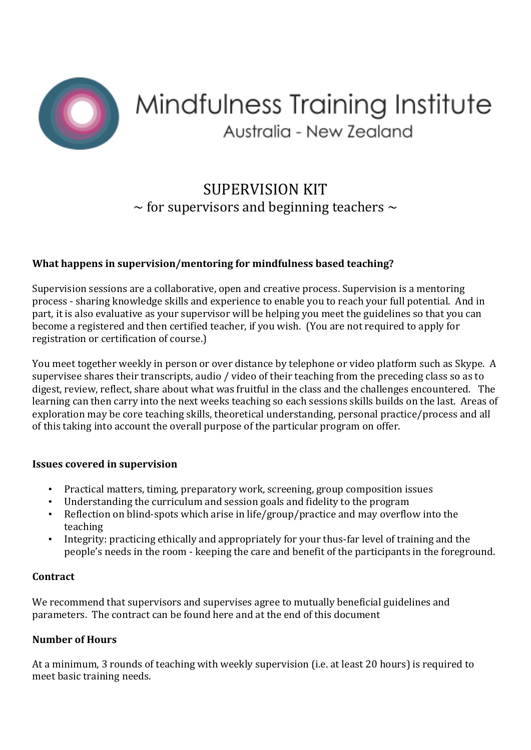

# Mindfulness Training Institute Australia - New Zealand

# SUPERVISION KIT  $\sim$  for supervisors and beginning teachers  $\sim$

# **What happens in supervision/mentoring for mindfulness based teaching?**

Supervision sessions are a collaborative, open and creative process. Supervision is a mentoring process - sharing knowledge skills and experience to enable you to reach your full potential. And in part, it is also evaluative as your supervisor will be helping you meet the guidelines so that you can become a registered and then certified teacher, if you wish. (You are not required to apply for registration or certification of course.)

You meet together weekly in person or over distance by telephone or video platform such as Skype. A supervisee shares their transcripts, audio / video of their teaching from the preceding class so as to digest, review, reflect, share about what was fruitful in the class and the challenges encountered. The learning can then carry into the next weeks teaching so each sessions skills builds on the last. Areas of exploration may be core teaching skills, theoretical understanding, personal practice/process and all of this taking into account the overall purpose of the particular program on offer.

#### **Issues covered in supervision**

- Practical matters, timing, preparatory work, screening, group composition issues
- Understanding the curriculum and session goals and fidelity to the program
- Reflection on blind-spots which arise in life/group/practice and may overflow into the teaching
- Integrity: practicing ethically and appropriately for your thus-far level of training and the people's needs in the room - keeping the care and benefit of the participants in the foreground.

# **Contract**

We recommend that supervisors and supervises agree to mutually beneficial guidelines and parameters. The contract can be found here and at the end of this document

# **Number of Hours**

At a minimum, 3 rounds of teaching with weekly supervision (i.e. at least 20 hours) is required to meet basic training needs.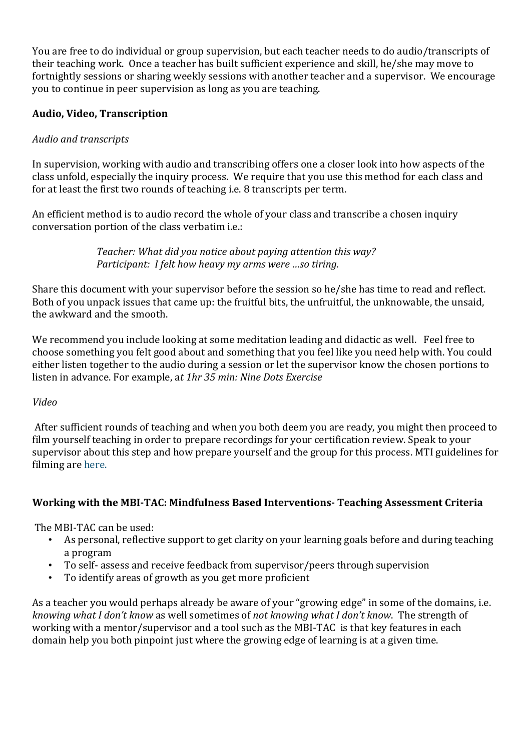You are free to do individual or group supervision, but each teacher needs to do audio/transcripts of their teaching work. Once a teacher has built sufficient experience and skill, he/she may move to fortnightly sessions or sharing weekly sessions with another teacher and a supervisor. We encourage you to continue in peer supervision as long as you are teaching.

# **Audio, Video, Transcription**

# *Audio and transcripts*

In supervision, working with audio and transcribing offers one a closer look into how aspects of the class unfold, especially the inquiry process. We require that you use this method for each class and for at least the first two rounds of teaching i.e. 8 transcripts per term.

An efficient method is to audio record the whole of your class and transcribe a chosen inquiry conversation portion of the class verbatim i.e.:

> *Teacher: What did you notice about paying attention this way? Participant: I felt how heavy my arms were …so tiring.*

Share this document with your supervisor before the session so he/she has time to read and reflect. Both of you unpack issues that came up: the fruitful bits, the unfruitful, the unknowable, the unsaid, the awkward and the smooth.

We recommend you include looking at some meditation leading and didactic as well. Feel free to choose something you felt good about and something that you feel like you need help with. You could either listen together to the audio during a session or let the supervisor know the chosen portions to listen in advance. For example, a*t 1hr 35 min: Nine Dots Exercise*

# *Video*

After sufficient rounds of teaching and when you both deem you are ready, you might then proceed to film yourself teaching in order to prepare recordings for your certification review. Speak to your supervisor about this step and how prepare yourself and the group for this process. MTI guidelines for filming are here.

# **Working with the MBI-TAC: Mindfulness Based Interventions- Teaching Assessment Criteria**

The MBI-TAC can be used:

- As personal, reflective support to get clarity on your learning goals before and during teaching a program
- To self- assess and receive feedback from supervisor/peers through supervision
- To identify areas of growth as you get more proficient

As a teacher you would perhaps already be aware of your "growing edge" in some of the domains, i.e. *knowing what I don't know* as well sometimes of *not knowing what I don't know*. The strength of working with a mentor/supervisor and a tool such as the MBI-TAC is that key features in each domain help you both pinpoint just where the growing edge of learning is at a given time.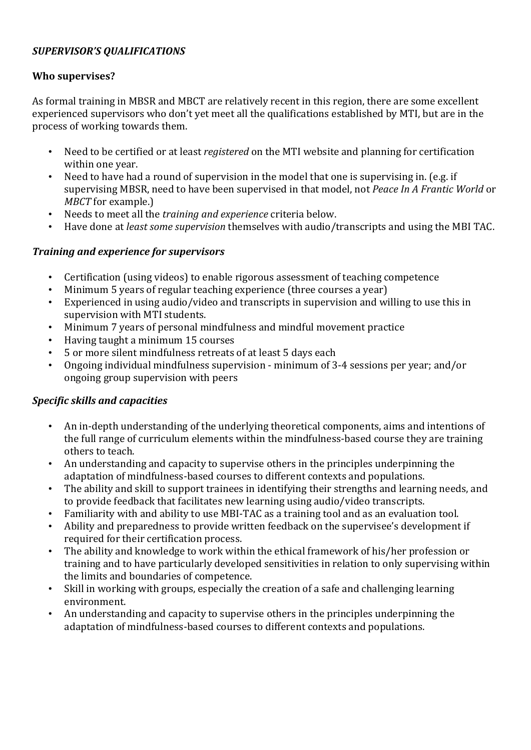# *SUPERVISOR'S QUALIFICATIONS*

#### **Who supervises?**

As formal training in MBSR and MBCT are relatively recent in this region, there are some excellent experienced supervisors who don't yet meet all the qualifications established by MTI, but are in the process of working towards them.

- Need to be certified or at least *registered* on the MTI website and planning for certification within one year.
- Need to have had a round of supervision in the model that one is supervising in. (e.g. if supervising MBSR, need to have been supervised in that model, not *Peace In A Frantic World* or *MBCT* for example.)
- Needs to meet all the *training and experience* criteria below.
- Have done at *least some supervision* themselves with audio/transcripts and using the MBI TAC.

#### *Training and experience for supervisors*

- Certification (using videos) to enable rigorous assessment of teaching competence
- Minimum 5 years of regular teaching experience (three courses a year)
- Experienced in using audio/video and transcripts in supervision and willing to use this in supervision with MTI students.
- Minimum 7 years of personal mindfulness and mindful movement practice
- Having taught a minimum 15 courses
- 5 or more silent mindfulness retreats of at least 5 days each
- Ongoing individual mindfulness supervision minimum of 3-4 sessions per year; and/or ongoing group supervision with peers

# *Specific skills and capacities*

- An in-depth understanding of the underlying theoretical components, aims and intentions of the full range of curriculum elements within the mindfulness-based course they are training others to teach.
- An understanding and capacity to supervise others in the principles underpinning the adaptation of mindfulness-based courses to different contexts and populations.
- The ability and skill to support trainees in identifying their strengths and learning needs, and to provide feedback that facilitates new learning using audio/video transcripts.
- Familiarity with and ability to use MBI-TAC as a training tool and as an evaluation tool.
- Ability and preparedness to provide written feedback on the supervisee's development if required for their certification process.
- The ability and knowledge to work within the ethical framework of his/her profession or training and to have particularly developed sensitivities in relation to only supervising within the limits and boundaries of competence.
- Skill in working with groups, especially the creation of a safe and challenging learning environment.
- An understanding and capacity to supervise others in the principles underpinning the adaptation of mindfulness-based courses to different contexts and populations.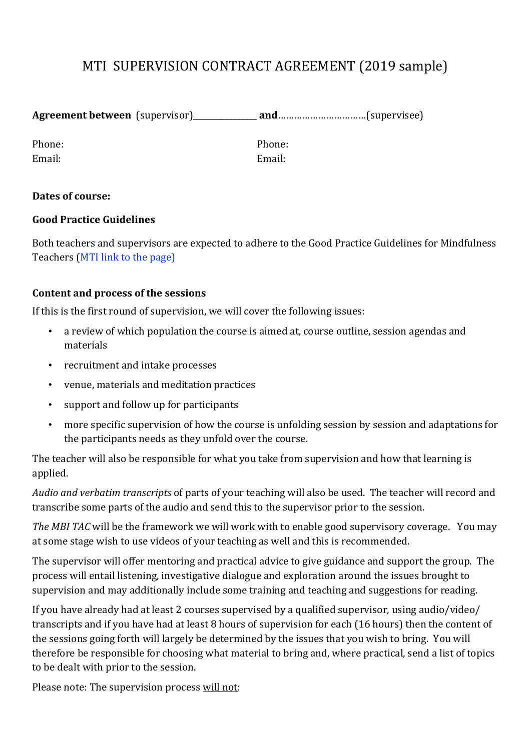# MTI SUPERVISION CONTRACT AGREEMENT (2019 sample)

| <b>Agreement between</b> (supervisor) | $and$ and $$ $$ $$ $$ $$ $$ $($ supervisee $)$ |  |
|---------------------------------------|------------------------------------------------|--|
|                                       |                                                |  |

Phone: Phone: Email: Email:

# **Dates of course:**

# **Good Practice Guidelines**

Both teachers and supervisors are expected to adhere to the Good Practice Guidelines for Mindfulness Teachers (MTI link to the page) 

# **Content and process of the sessions**

If this is the first round of supervision, we will cover the following issues:

- a review of which population the course is aimed at, course outline, session agendas and materials
- recruitment and intake processes
- venue, materials and meditation practices
- support and follow up for participants
- more specific supervision of how the course is unfolding session by session and adaptations for the participants needs as they unfold over the course.

The teacher will also be responsible for what you take from supervision and how that learning is applied.

*Audio and verbatim transcripts* of parts of your teaching will also be used. The teacher will record and transcribe some parts of the audio and send this to the supervisor prior to the session.

*The MBI TAC* will be the framework we will work with to enable good supervisory coverage. You may at some stage wish to use videos of your teaching as well and this is recommended.

The supervisor will offer mentoring and practical advice to give guidance and support the group. The process will entail listening, investigative dialogue and exploration around the issues brought to supervision and may additionally include some training and teaching and suggestions for reading.

If you have already had at least 2 courses supervised by a qualified supervisor, using audio/video/ transcripts and if you have had at least 8 hours of supervision for each (16 hours) then the content of the sessions going forth will largely be determined by the issues that you wish to bring. You will therefore be responsible for choosing what material to bring and, where practical, send a list of topics to be dealt with prior to the session.

Please note: The supervision process will not: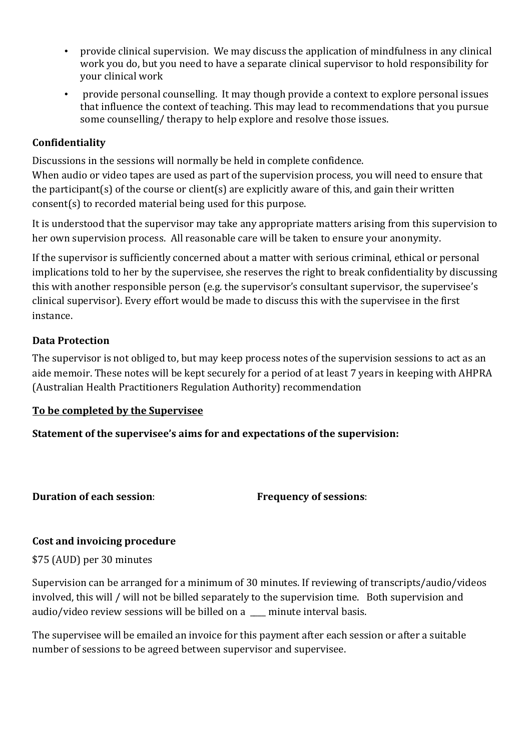- provide clinical supervision. We may discuss the application of mindfulness in any clinical work you do, but you need to have a separate clinical supervisor to hold responsibility for your clinical work
- provide personal counselling. It may though provide a context to explore personal issues that influence the context of teaching. This may lead to recommendations that you pursue some counselling/ therapy to help explore and resolve those issues.

# **Confidentiality**

Discussions in the sessions will normally be held in complete confidence.

When audio or video tapes are used as part of the supervision process, you will need to ensure that the participant(s) of the course or client(s) are explicitly aware of this, and gain their written consent(s) to recorded material being used for this purpose.

It is understood that the supervisor may take any appropriate matters arising from this supervision to her own supervision process. All reasonable care will be taken to ensure your anonymity.

If the supervisor is sufficiently concerned about a matter with serious criminal, ethical or personal implications told to her by the supervisee, she reserves the right to break confidentiality by discussing this with another responsible person (e.g. the supervisor's consultant supervisor, the supervisee's clinical supervisor). Every effort would be made to discuss this with the supervisee in the first instance.

# **Data Protection**

The supervisor is not obliged to, but may keep process notes of the supervision sessions to act as an aide memoir. These notes will be kept securely for a period of at least 7 years in keeping with AHPRA (Australian Health Practitioners Regulation Authority) recommendation

# **To be completed by the Supervisee**

**Statement of the supervisee's aims for and expectations of the supervision:**

**Duration of each session**: **Frequency of sessions**:

# **Cost and invoicing procedure**

\$75 (AUD) per 30 minutes

Supervision can be arranged for a minimum of 30 minutes. If reviewing of transcripts/audio/videos involved, this will / will not be billed separately to the supervision time. Both supervision and audio/video review sessions will be billed on a minute interval basis.

The supervisee will be emailed an invoice for this payment after each session or after a suitable number of sessions to be agreed between supervisor and supervisee.